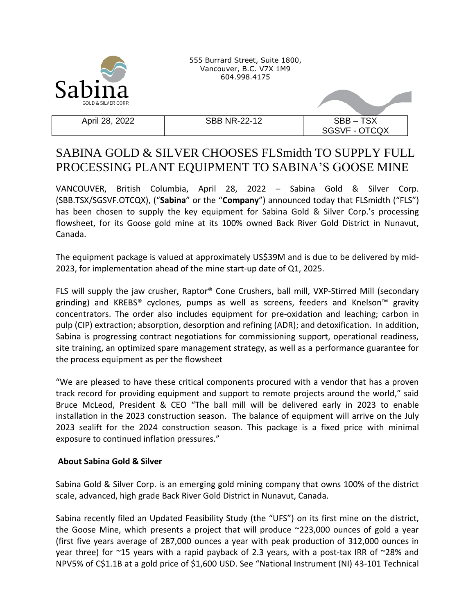

555 Burrard Street, Suite 1800, Vancouver, B.C. V7X 1M9 604.998.4175

April 28, 2022 SBB NR-22-12 SBB – TSX

SGSVF - OTCQX

## SABINA GOLD & SILVER CHOOSES FLSmidth TO SUPPLY FULL PROCESSING PLANT EQUIPMENT TO SABINA'S GOOSE MINE

VANCOUVER, British Columbia, April 28, 2022 – Sabina Gold & Silver Corp. (SBB.TSX/SGSVF.OTCQX), ("**Sabina**" or the "**Company**") announced today that FLSmidth ("FLS") has been chosen to supply the key equipment for Sabina Gold & Silver Corp.'s processing flowsheet, for its Goose gold mine at its 100% owned Back River Gold District in Nunavut, Canada.

The equipment package is valued at approximately US\$39M and is due to be delivered by mid-2023, for implementation ahead of the mine start-up date of Q1, 2025.

FLS will supply the jaw crusher, Raptor® Cone Crushers, ball mill, VXP-Stirred Mill (secondary grinding) and KREBS® cyclones, pumps as well as screens, feeders and Knelson™ gravity concentrators. The order also includes equipment for pre-oxidation and leaching; carbon in pulp (CIP) extraction; absorption, desorption and refining (ADR); and detoxification. In addition, Sabina is progressing contract negotiations for commissioning support, operational readiness, site training, an optimized spare management strategy, as well as a performance guarantee for the process equipment as per the flowsheet

"We are pleased to have these critical components procured with a vendor that has a proven track record for providing equipment and support to remote projects around the world," said Bruce McLeod, President & CEO "The ball mill will be delivered early in 2023 to enable installation in the 2023 construction season. The balance of equipment will arrive on the July 2023 sealift for the 2024 construction season. This package is a fixed price with minimal exposure to continued inflation pressures."

## **About Sabina Gold & Silver**

Sabina Gold & Silver Corp. is an emerging gold mining company that owns 100% of the district scale, advanced, high grade Back River Gold District in Nunavut, Canada.

Sabina recently filed an Updated Feasibility Study (the "UFS") on its first mine on the district, the Goose Mine, which presents a project that will produce ~223,000 ounces of gold a year (first five years average of 287,000 ounces a year with peak production of 312,000 ounces in year three) for ~15 years with a rapid payback of 2.3 years, with a post-tax IRR of ~28% and NPV5% of C\$1.1B at a gold price of \$1,600 USD. See "National Instrument (NI) 43-101 Technical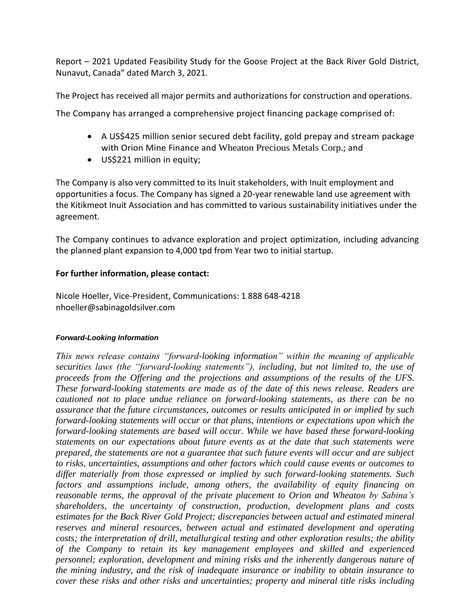Report – 2021 Updated Feasibility Study for the Goose Project at the Back River Gold District, Nunavut, Canada" dated March 3, 2021.

The Project has received all major permits and authorizations for construction and operations.

The Company has arranged a comprehensive project financing package comprised of:

- A US\$425 million senior secured debt facility, gold prepay and stream package with Orion Mine Finance and Wheaton Precious Metals Corp.; and
- US\$221 million in equity;

The Company is also very committed to its Inuit stakeholders, with Inuit employment and opportunities a focus. The Company has signed a 20-year renewable land use agreement with the Kitikmeot Inuit Association and has committed to various sustainability initiatives under the agreement.

The Company continues to advance exploration and project optimization, including advancing the planned plant expansion to 4,000 tpd from Year two to initial startup.

## **For further information, please contact:**

Nicole Hoeller, Vice-President, Communications: 1 888 648-4218 nhoeller@sabinagoldsilver.com

## *Forward-Looking Information*

*This news release contains "forward-looking information" within the meaning of applicable securities laws (the "forward-looking statements"), including, but not limited to, the use of proceeds from the Offering and the projections and assumptions of the results of the UFS. These forward-looking statements are made as of the date of this news release. Readers are cautioned not to place undue reliance on forward-looking statements, as there can be no assurance that the future circumstances, outcomes or results anticipated in or implied by such forward-looking statements will occur or that plans, intentions or expectations upon which the forward-looking statements are based will occur. While we have based these forward-looking statements on our expectations about future events as at the date that such statements were prepared, the statements are not a guarantee that such future events will occur and are subject to risks, uncertainties, assumptions and other factors which could cause events or outcomes to differ materially from those expressed or implied by such forward-looking statements. Such factors and assumptions include, among others, the availability of equity financing on reasonable terms, the approval of the private placement to Orion and Wheaton by Sabina's shareholders, the uncertainty of construction, production, development plans and costs estimates for the Back River Gold Project; discrepancies between actual and estimated mineral reserves and mineral resources, between actual and estimated development and operating costs; the interpretation of drill, metallurgical testing and other exploration results; the ability of the Company to retain its key management employees and skilled and experienced personnel; exploration, development and mining risks and the inherently dangerous nature of the mining industry, and the risk of inadequate insurance or inability to obtain insurance to cover these risks and other risks and uncertainties; property and mineral title risks including*